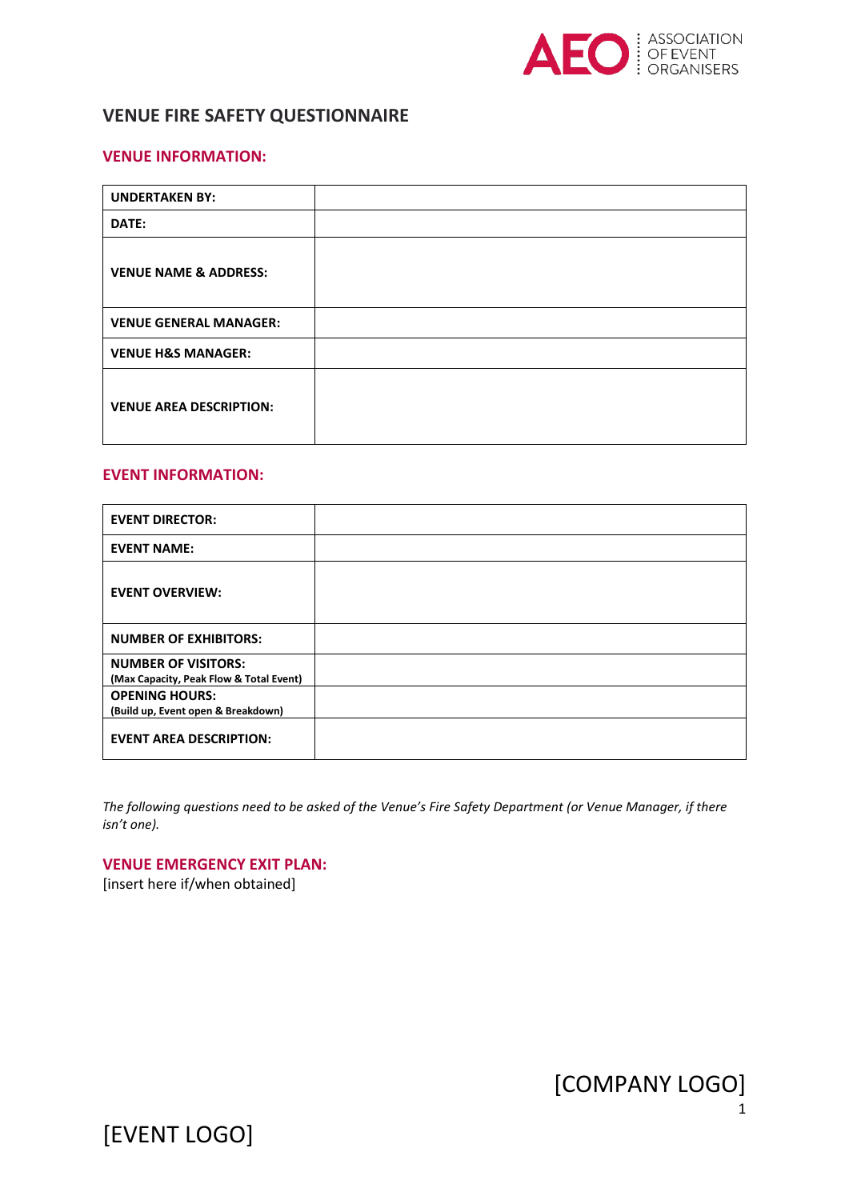

# **VENUE FIRE SAFETY QUESTIONNAIRE**

#### **VENUE INFORMATION:**

| <b>UNDERTAKEN BY:</b>            |  |
|----------------------------------|--|
| DATE:                            |  |
| <b>VENUE NAME &amp; ADDRESS:</b> |  |
| <b>VENUE GENERAL MANAGER:</b>    |  |
| <b>VENUE H&amp;S MANAGER:</b>    |  |
| <b>VENUE AREA DESCRIPTION:</b>   |  |

#### **EVENT INFORMATION:**

| <b>EVENT DIRECTOR:</b>                                                |  |
|-----------------------------------------------------------------------|--|
| <b>EVENT NAME:</b>                                                    |  |
| <b>EVENT OVERVIEW:</b>                                                |  |
| <b>NUMBER OF EXHIBITORS:</b>                                          |  |
| <b>NUMBER OF VISITORS:</b><br>(Max Capacity, Peak Flow & Total Event) |  |
| <b>OPENING HOURS:</b><br>(Build up, Event open & Breakdown)           |  |
| <b>EVENT AREA DESCRIPTION:</b>                                        |  |

*The following questions need to be asked of the Venue's Fire Safety Department (or Venue Manager, if there isn't one).* 

#### **VENUE EMERGENCY EXIT PLAN:**

[insert here if/when obtained]

[COMPANY LOGO]

[EVENT LOGO]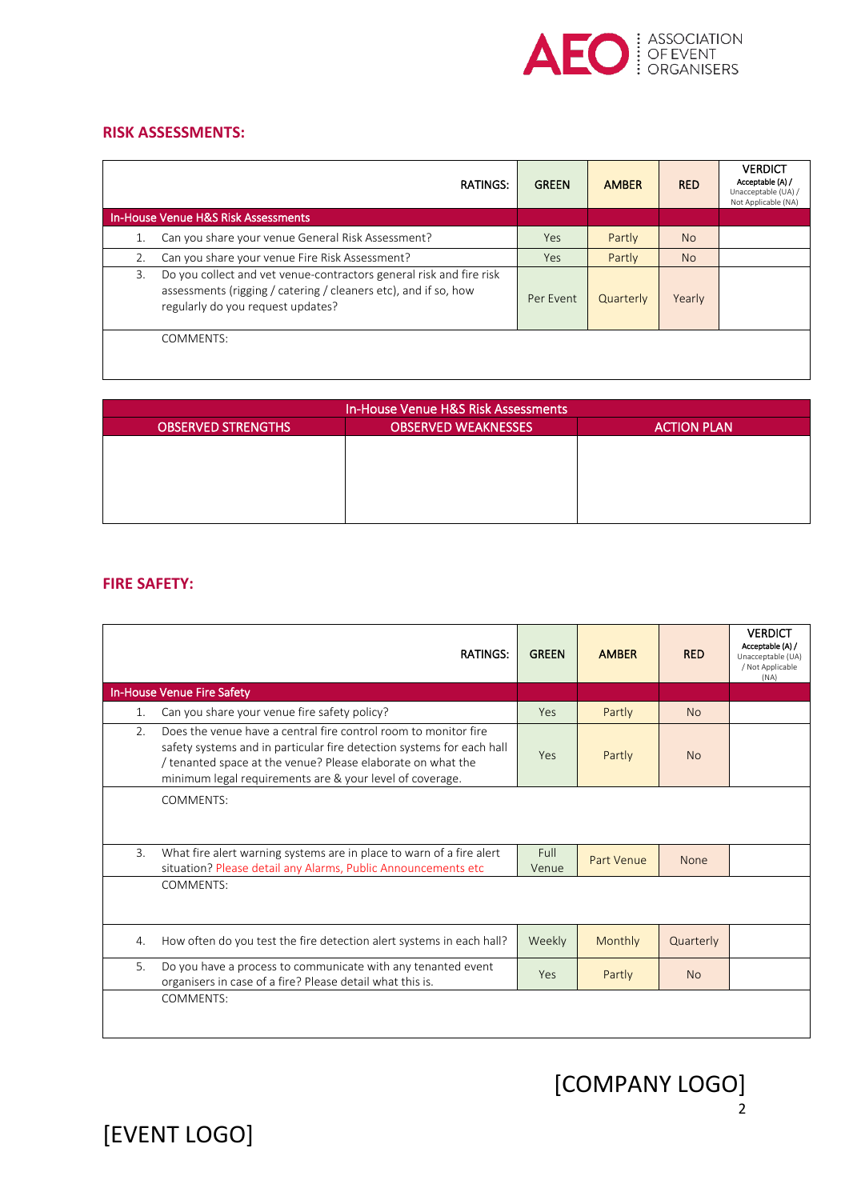

### **RISK ASSESSMENTS:**

|    | <b>RATINGS:</b>                                                                                                                                                             | <b>GREEN</b> | <b>AMBER</b> | <b>RED</b>     | <b>VERDICT</b><br>Acceptable (A) /<br>Unacceptable (UA) /<br>Not Applicable (NA) |
|----|-----------------------------------------------------------------------------------------------------------------------------------------------------------------------------|--------------|--------------|----------------|----------------------------------------------------------------------------------|
|    | <b>In-House Venue H&amp;S Risk Assessments</b>                                                                                                                              |              |              |                |                                                                                  |
|    | Can you share your venue General Risk Assessment?                                                                                                                           | Yes          | Partly       | N <sub>o</sub> |                                                                                  |
| 2. | Can you share your venue Fire Risk Assessment?                                                                                                                              | Yes          | Partly       | N <sub>o</sub> |                                                                                  |
| 3. | Do you collect and vet venue-contractors general risk and fire risk<br>assessments (rigging / catering / cleaners etc), and if so, how<br>regularly do you request updates? | Per Event    | Quarterly    | Yearly         |                                                                                  |
|    | COMMENTS:                                                                                                                                                                   |              |              |                |                                                                                  |

| In-House Venue H&S Risk Assessments |                            |                    |  |  |
|-------------------------------------|----------------------------|--------------------|--|--|
| <b>OBSERVED STRENGTHS</b>           | <b>OBSERVED WEAKNESSES</b> | <b>ACTION PLAN</b> |  |  |
|                                     |                            |                    |  |  |
|                                     |                            |                    |  |  |
|                                     |                            |                    |  |  |
|                                     |                            |                    |  |  |
|                                     |                            |                    |  |  |

## **FIRE SAFETY:**

|    | <b>RATINGS:</b>                                                                                                                                                                                                                                                     | <b>GREEN</b>  | <b>AMBER</b> | <b>RED</b> | <b>VERDICT</b><br>Acceptable (A) /<br>Unacceptable (UA)<br>/ Not Applicable<br>(NA) |
|----|---------------------------------------------------------------------------------------------------------------------------------------------------------------------------------------------------------------------------------------------------------------------|---------------|--------------|------------|-------------------------------------------------------------------------------------|
|    | In-House Venue Fire Safety                                                                                                                                                                                                                                          |               |              |            |                                                                                     |
| 1. | Can you share your venue fire safety policy?                                                                                                                                                                                                                        | Yes           | Partly       | <b>No</b>  |                                                                                     |
| 2. | Does the venue have a central fire control room to monitor fire<br>safety systems and in particular fire detection systems for each hall<br>/ tenanted space at the venue? Please elaborate on what the<br>minimum legal requirements are & your level of coverage. | <b>Yes</b>    | Partly       | <b>No</b>  |                                                                                     |
|    | <b>COMMENTS:</b>                                                                                                                                                                                                                                                    |               |              |            |                                                                                     |
| 3. | What fire alert warning systems are in place to warn of a fire alert<br>situation? Please detail any Alarms, Public Announcements etc                                                                                                                               | Full<br>Venue | Part Venue   | None       |                                                                                     |
|    | COMMENTS:                                                                                                                                                                                                                                                           |               |              |            |                                                                                     |
| 4. | How often do you test the fire detection alert systems in each hall?                                                                                                                                                                                                | Weekly        | Monthly      | Quarterly  |                                                                                     |
| 5. | Do you have a process to communicate with any tenanted event<br>organisers in case of a fire? Please detail what this is.                                                                                                                                           | <b>Yes</b>    | Partly       | <b>No</b>  |                                                                                     |
|    | <b>COMMENTS:</b>                                                                                                                                                                                                                                                    |               |              |            |                                                                                     |